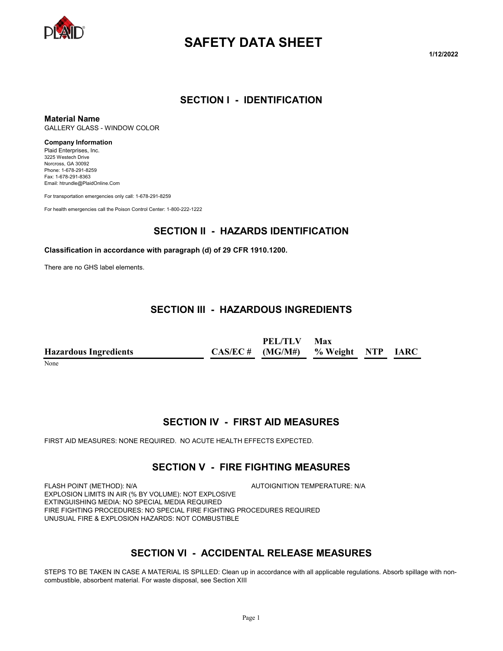

## **SAFETY DATA SHEET**

**1/12/2022**

#### **SECTION I - IDENTIFICATION**

#### **Material Name**

GALLERY GLASS - WINDOW COLOR

#### **Company Information**

Plaid Enterprises, Inc. 3225 Westech Drive Norcross, GA 30092 Phone: 1-678-291-8259 Fax: 1-678-291-8363 Email: htrundle@PlaidOnline.Com

For transportation emergencies only call: 1-678-291-8259

For health emergencies call the Poison Control Center: 1-800-222-1222

#### **SECTION II - HAZARDS IDENTIFICATION**

#### **Classification in accordance with paragraph (d) of 29 CFR 1910.1200.**

There are no GHS label elements.

#### **SECTION III - HAZARDOUS INGREDIENTS**

**Hazardous Ingredients CAS/EC #**

**PEL/TLV (MG/M#) Max % Weight NTP IARC**

# None

#### **SECTION IV - FIRST AID MEASURES**

FIRST AID MEASURES: NONE REQUIRED. NO ACUTE HEALTH EFFECTS EXPECTED.

#### **SECTION V - FIRE FIGHTING MEASURES**

FLASH POINT (METHOD): N/A  $\blacksquare$  AUTOIGNITION TEMPERATURE: N/A EXPLOSION LIMITS IN AIR (% BY VOLUME): NOT EXPLOSIVE EXTINGUISHING MEDIA: NO SPECIAL MEDIA REQUIRED FIRE FIGHTING PROCEDURES: NO SPECIAL FIRE FIGHTING PROCEDURES REQUIRED UNUSUAL FIRE & EXPLOSION HAZARDS: NOT COMBUSTIBLE

#### **SECTION VI - ACCIDENTAL RELEASE MEASURES**

STEPS TO BE TAKEN IN CASE A MATERIAL IS SPILLED: Clean up in accordance with all applicable regulations. Absorb spillage with noncombustible, absorbent material. For waste disposal, see Section XIII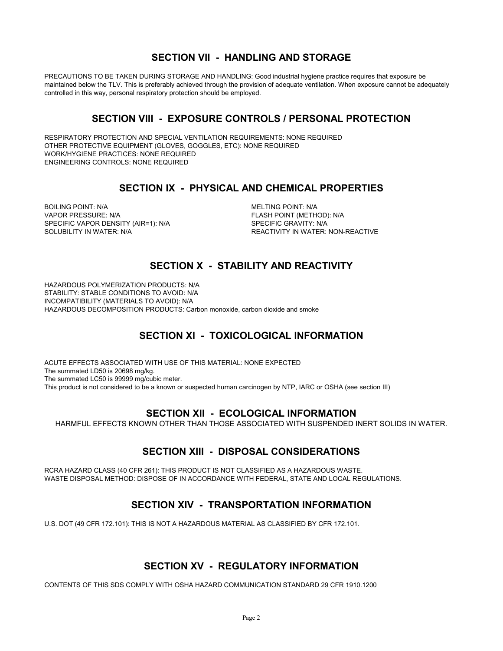#### **SECTION VII - HANDLING AND STORAGE**

PRECAUTIONS TO BE TAKEN DURING STORAGE AND HANDLING: Good industrial hygiene practice requires that exposure be maintained below the TLV. This is preferably achieved through the provision of adequate ventilation. When exposure cannot be adequately controlled in this way, personal respiratory protection should be employed.

#### **SECTION VIII - EXPOSURE CONTROLS / PERSONAL PROTECTION**

RESPIRATORY PROTECTION AND SPECIAL VENTILATION REQUIREMENTS: NONE REQUIRED OTHER PROTECTIVE EQUIPMENT (GLOVES, GOGGLES, ETC): NONE REQUIRED WORK/HYGIENE PRACTICES: NONE REQUIRED ENGINEERING CONTROLS: NONE REQUIRED

#### **SECTION IX - PHYSICAL AND CHEMICAL PROPERTIES**

BOILING POINT: N/A **MELTING POINT: N/A** VAPOR PRESSURE: N/A FLASH POINT (METHOD): N/A SPECIFIC VAPOR DENSITY (AIR=1): N/A SPECIFIC GRAVITY: N/A SOLUBILITY IN WATER: N/A REACTIVITY IN WATER: NON-REACTIVE

#### **SECTION X - STABILITY AND REACTIVITY**

HAZARDOUS POLYMERIZATION PRODUCTS: N/A STABILITY: STABLE CONDITIONS TO AVOID: N/A INCOMPATIBILITY (MATERIALS TO AVOID): N/A HAZARDOUS DECOMPOSITION PRODUCTS: Carbon monoxide, carbon dioxide and smoke

## **SECTION XI - TOXICOLOGICAL INFORMATION**

ACUTE EFFECTS ASSOCIATED WITH USE OF THIS MATERIAL: NONE EXPECTED The summated LD50 is 20698 mg/kg. The summated LC50 is 99999 mg/cubic meter. This product is not considered to be a known or suspected human carcinogen by NTP, IARC or OSHA (see section III)

#### **SECTION XII - ECOLOGICAL INFORMATION**

HARMFUL EFFECTS KNOWN OTHER THAN THOSE ASSOCIATED WITH SUSPENDED INERT SOLIDS IN WATER.

#### **SECTION XIII - DISPOSAL CONSIDERATIONS**

RCRA HAZARD CLASS (40 CFR 261): THIS PRODUCT IS NOT CLASSIFIED AS A HAZARDOUS WASTE. WASTE DISPOSAL METHOD: DISPOSE OF IN ACCORDANCE WITH FEDERAL, STATE AND LOCAL REGULATIONS.

#### **SECTION XIV - TRANSPORTATION INFORMATION**

U.S. DOT (49 CFR 172.101): THIS IS NOT A HAZARDOUS MATERIAL AS CLASSIFIED BY CFR 172.101.

#### **SECTION XV - REGULATORY INFORMATION**

CONTENTS OF THIS SDS COMPLY WITH OSHA HAZARD COMMUNICATION STANDARD 29 CFR 1910.1200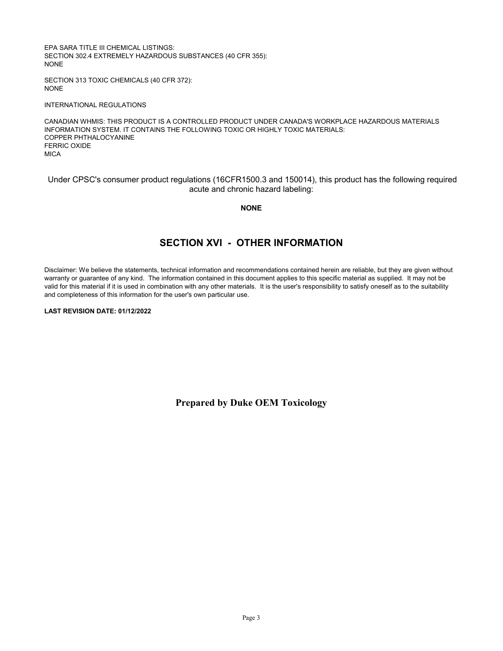EPA SARA TITLE III CHEMICAL LISTINGS: SECTION 302.4 EXTREMELY HAZARDOUS SUBSTANCES (40 CFR 355): NONE

SECTION 313 TOXIC CHEMICALS (40 CFR 372): NONE

INTERNATIONAL REGULATIONS

CANADIAN WHMIS: THIS PRODUCT IS A CONTROLLED PRODUCT UNDER CANADA'S WORKPLACE HAZARDOUS MATERIALS INFORMATION SYSTEM. IT CONTAINS THE FOLLOWING TOXIC OR HIGHLY TOXIC MATERIALS: COPPER PHTHALOCYANINE FERRIC OXIDE MICA

Under CPSC's consumer product regulations (16CFR1500.3 and 150014), this product has the following required acute and chronic hazard labeling:

**NONE**

#### **SECTION XVI - OTHER INFORMATION**

Disclaimer: We believe the statements, technical information and recommendations contained herein are reliable, but they are given without warranty or guarantee of any kind. The information contained in this document applies to this specific material as supplied. It may not be valid for this material if it is used in combination with any other materials. It is the user's responsibility to satisfy oneself as to the suitability and completeness of this information for the user's own particular use.

**LAST REVISION DATE: 01/12/2022**

**Prepared by Duke OEM Toxicology**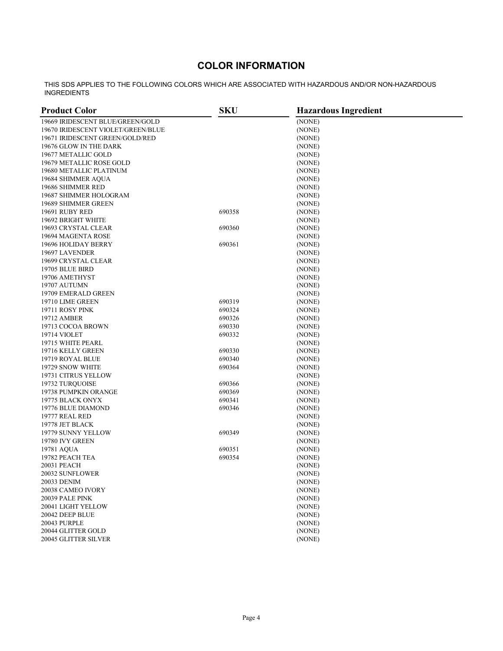## **COLOR INFORMATION**

THIS SDS APPLIES TO THE FOLLOWING COLORS WHICH ARE ASSOCIATED WITH HAZARDOUS AND/OR NON-HAZARDOUS INGREDIENTS

| <b>Product Color</b>               | <b>SKU</b> | <b>Hazardous Ingredient</b> |  |
|------------------------------------|------------|-----------------------------|--|
| 19669 IRIDESCENT BLUE/GREEN/GOLD   |            | (NONE)                      |  |
| 19670 IRIDESCENT VIOLET/GREEN/BLUE |            | (NONE)                      |  |
| 19671 IRIDESCENT GREEN/GOLD/RED    |            | (NONE)                      |  |
| 19676 GLOW IN THE DARK             |            | (NONE)                      |  |
| 19677 METALLIC GOLD                |            | (NONE)                      |  |
| 19679 METALLIC ROSE GOLD           |            | (NONE)                      |  |
| 19680 METALLIC PLATINUM            |            | (NONE)                      |  |
| 19684 SHIMMER AQUA                 |            | (NONE)                      |  |
| 19686 SHIMMER RED                  |            | (NONE)                      |  |
| 19687 SHIMMER HOLOGRAM             |            | (NONE)                      |  |
| 19689 SHIMMER GREEN                |            | (NONE)                      |  |
| 19691 RUBY RED                     | 690358     | (NONE)                      |  |
| 19692 BRIGHT WHITE                 |            | (NONE)                      |  |
| 19693 CRYSTAL CLEAR                | 690360     | (NONE)                      |  |
| 19694 MAGENTA ROSE                 |            | (NONE)                      |  |
| 19696 HOLIDAY BERRY                | 690361     | (NONE)                      |  |
| 19697 LAVENDER                     |            | (NONE)                      |  |
| 19699 CRYSTAL CLEAR                |            | (NONE)                      |  |
| 19705 BLUE BIRD                    |            | (NONE)                      |  |
| 19706 AMETHYST                     |            | (NONE)                      |  |
| 19707 AUTUMN                       |            | (NONE)                      |  |
| 19709 EMERALD GREEN                |            | (NONE)                      |  |
| 19710 LIME GREEN                   | 690319     | (NONE)                      |  |
| 19711 ROSY PINK                    | 690324     | (NONE)                      |  |
| 19712 AMBER                        | 690326     | (NONE)                      |  |
| 19713 COCOA BROWN                  | 690330     | (NONE)                      |  |
| 19714 VIOLET                       | 690332     | (NONE)                      |  |
| 19715 WHITE PEARL                  |            | (NONE)                      |  |
| 19716 KELLY GREEN                  | 690330     | (NONE)                      |  |
| 19719 ROYAL BLUE                   | 690340     | (NONE)                      |  |
| 19729 SNOW WHITE                   | 690364     | (NONE)                      |  |
| 19731 CITRUS YELLOW                |            | (NONE)                      |  |
| 19732 TURQUOISE                    | 690366     | (NONE)                      |  |
| 19738 PUMPKIN ORANGE               | 690369     | (NONE)                      |  |
| 19775 BLACK ONYX                   | 690341     | (NONE)                      |  |
| 19776 BLUE DIAMOND                 | 690346     | (NONE)                      |  |
| 19777 REAL RED                     |            | (NONE)                      |  |
| 19778 JET BLACK                    |            | (NONE)                      |  |
| 19779 SUNNY YELLOW                 | 690349     | (NONE)                      |  |
| 19780 IVY GREEN                    |            | (NONE)                      |  |
| 19781 AQUA                         | 690351     | (NONE)                      |  |
| 19782 PEACH TEA                    | 690354     | (NONE)                      |  |
| 20031 PEACH                        |            | (NONE)                      |  |
| 20032 SUNFLOWER                    |            | (NONE)                      |  |
| 20033 DENIM                        |            | (NONE)                      |  |
| 20038 CAMEO IVORY                  |            | (NONE)                      |  |
| 20039 PALE PINK                    |            | (NONE)                      |  |
| 20041 LIGHT YELLOW                 |            | (NONE)                      |  |
| 20042 DEEP BLUE                    |            | (NONE)                      |  |
| 20043 PURPLE                       |            | (NONE)                      |  |
| 20044 GLITTER GOLD                 |            | (NONE)                      |  |
| 20045 GLITTER SILVER               |            | (NONE)                      |  |